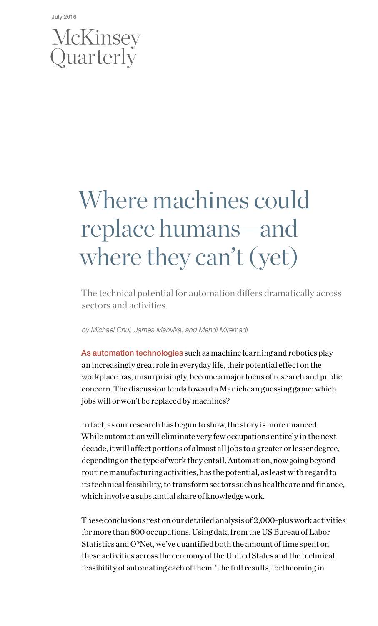## McKinsey Quarterly

# Where machines could replace humans—and where they can't (yet)

The technical potential for automation differs dramatically across sectors and activities.

*by Michael Chui, James Manyika, and Mehdi Miremadi*

As automation technologies such as machine learning and robotics play an increasingly great role in everyday life, their potential effect on the workplace has, unsurprisingly, become a major focus of research and public concern. The discussion tends toward a Manichean guessing game: which jobs will or won't be replaced by machines?

In fact, as our research has begun to show, the story is more nuanced. While automation will eliminate very few occupations entirely in the next decade, it will affect portions of almost all jobs to a greater or lesser degree, depending on the type of work they entail. Automation, now going beyond routine manufacturing activities, has the potential, as least with regard to its technical feasibility, to transform sectors such as healthcare and finance, which involve a substantial share of knowledge work.

These conclusions rest on our detailed analysis of 2,000-plus work activities for more than 800 occupations. Using data from the US Bureau of Labor Statistics and O\*Net, we've quantified both the amount of time spent on these activities across the economy of the United States and the technical feasibility of automating each of them. The full results, forthcoming in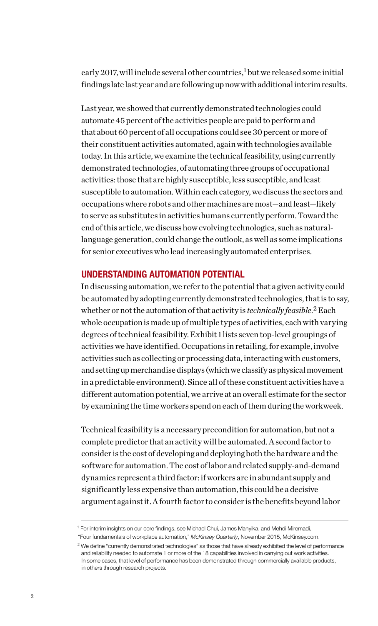early 2017, will include several other countries,<sup>1</sup> but we released some initial findings late last year and are following up now with additional interim results.

Last year, we showed that currently demonstrated technologies could automate 45 percent of the activities people are paid to perform and that about 60 percent of all occupations could see 30 percent or more of their constituent activities automated, again with technologies available today. In this article, we examine the technical feasibility, using currently demonstrated technologies, of automating three groups of occupational activities: those that are highly susceptible, less susceptible, and least susceptible to automation. Within each category, we discuss the sectors and occupations where robots and other machines are most—and least—likely to serve as substitutes in activities humans currently perform. Toward the end of this article, we discuss how evolving technologies, such as naturallanguage generation, could change the outlook, as well as some implications for senior executives who lead increasingly automated enterprises.

#### UNDERSTANDING AUTOMATION POTENTIAL

In discussing automation, we refer to the potential that a given activity could be automated by adopting currently demonstrated technologies, that is to say, whether or not the automation of that activity is *technically feasible*. 2 Each whole occupation is made up of multiple types of activities, each with varying degrees of technical feasibility. Exhibit 1 lists seven top-level groupings of activities we have identified. Occupations in retailing, for example, involve activities such as collecting or processing data, interacting with customers, and setting up merchandise displays (which we classify as physical movement in a predictable environment). Since all of these constituent activities have a different automation potential, we arrive at an overall estimate for the sector by examining the time workers spend on each of them during the workweek.

Technical feasibility is a necessary precondition for automation, but not a complete predictor that an activity will be automated. A second factor to consider is the cost of developing and deploying both the hardware and the software for automation. The cost of labor and related supply-and-demand dynamics represent a third factor: if workers are in abundant supply and significantly less expensive than automation, this could be a decisive argument against it. A fourth factor to consider is the benefits beyond labor

<sup>&</sup>lt;sup>1</sup> For interim insights on our core findings, see Michael Chui, James Manyika, and Mehdi Miremadi,

<sup>&</sup>quot;Four fundamentals of workplace automation," *McKinsey Quarterly*, November 2015, McKinsey.com.

 $2$  We define "currently demonstrated technologies" as those that have already exhibited the level of performance and reliability needed to automate 1 or more of the 18 capabilities involved in carrying out work activities. In some cases, that level of performance has been demonstrated through commercially available products, in others through research projects.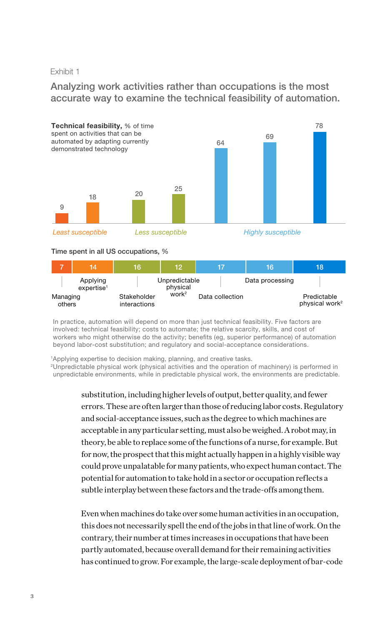### Exhibit 1

#### Analyzing work activities rather than occupations is the most accurate way to examine the technical feasibility of automation.



#### Time spent in all US occupations, %

|                    | 14                                    | 16                          | ∖12                                            |                 | 16              | 18                                        |
|--------------------|---------------------------------------|-----------------------------|------------------------------------------------|-----------------|-----------------|-------------------------------------------|
| Managing<br>others | Applying<br>$ex$ pertise <sup>1</sup> | Stakeholder<br>interactions | Unpredictable<br>physical<br>work <sup>2</sup> | Data collection | Data processing | Predictable<br>physical work <sup>2</sup> |

In practice, automation will depend on more than just technical feasibility. Five factors are involved: technical feasibility; costs to automate; the relative scarcity, skills, and cost of workers who might otherwise do the activity; benefits (eg, superior performance) of automation beyond labor-cost substitution; and regulatory and social-acceptance considerations.

<sup>1</sup>Applying expertise to decision making, planning, and creative tasks.

2Unpredictable physical work (physical activities and the operation of machinery) is performed in unpredictable environments, while in predictable physical work, the environments are predictable.

> substitution, including higher levels of output, better quality, and fewer errors. These are often larger than those of reducing labor costs. Regulatory and social-acceptance issues, such as the degree to which machines are acceptable in any particular setting, must also be weighed. A robot may, in theory, be able to replace some of the functions of a nurse, for example. But for now, the prospect that this might actually happen in a highly visible way could prove unpalatable for many patients, who expect human contact. The potential for automation to take hold in a sector or occupation reflects a subtle interplay between these factors and the trade-offs among them.

> Even when machines do take over some human activities in an occupation, this does not necessarily spell the end of the jobs in that line of work. On the contrary, their number at times increases in occupations that have been partly automated, because overall demand for their remaining activities has continued to grow. For example, the large-scale deployment of bar-code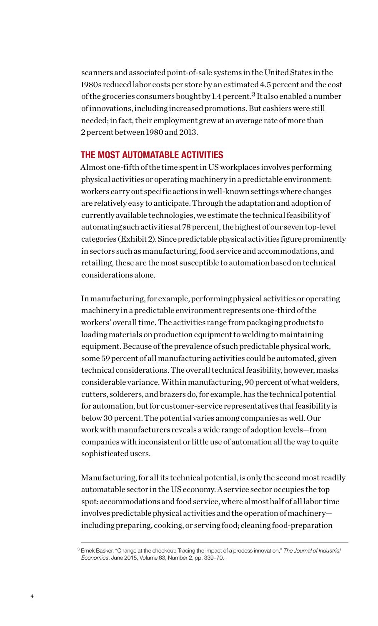scanners and associated point-of-sale systems in the United States in the 1980s reduced labor costs per store by an estimated 4.5 percent and the cost of the groceries consumers bought by 1.4 percent.<sup>3</sup> It also enabled a number of innovations, including increased promotions. But cashiers were still needed; in fact, their employment grew at an average rate of more than 2 percent between 1980 and 2013.

#### THE MOST AUTOMATABLE ACTIVITIES

Almost one-fifth of the time spent in US workplaces involves performing physical activities or operating machinery in a predictable environment: workers carry out specific actions in well-known settings where changes are relatively easy to anticipate. Through the adaptation and adoption of currently available technologies, we estimate the technical feasibility of automating such activities at 78 percent, the highest of our seven top-level categories (Exhibit 2). Since predictable physical activities figure prominently in sectors such as manufacturing, food service and accommodations, and retailing, these are the most susceptible to automation based on technical considerations alone.

In manufacturing, for example, performing physical activities or operating machinery in a predictable environment represents one-third of the workers' overall time. The activities range from packaging products to loading materials on production equipment to welding to maintaining equipment. Because of the prevalence of such predictable physical work, some 59 percent of all manufacturing activities could be automated, given technical considerations. The overall technical feasibility, however, masks considerable variance. Within manufacturing, 90 percent of what welders, cutters, solderers, and brazers do, for example, has the technical potential for automation, but for customer-service representatives that feasibility is below 30 percent. The potential varies among companies as well. Our work with manufacturers reveals a wide range of adoption levels—from companies with inconsistent or little use of automation all the way to quite sophisticated users.

Manufacturing, for all its technical potential, is only the second most readily automatable sector in the US economy. A service sector occupies the top spot: accommodations and food service, where almost half of all labor time involves predictable physical activities and the operation of machinery including preparing, cooking, or serving food; cleaning food-preparation

<sup>3</sup> Emek Basker, "Change at the checkout: Tracing the impact of a process innovation," *The Journal of Industrial Economics*, June 2015, Volume 63, Number 2, pp. 339–70.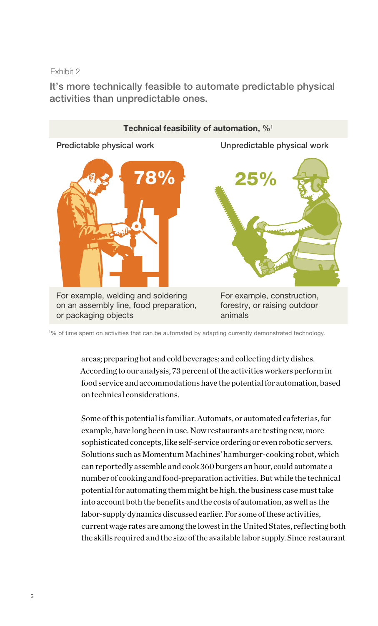Exhibit 2

It's more technically feasible to automate predictable physical activities than unpredictable ones.



1 % of time spent on activities that can be automated by adapting currently demonstrated technology.

areas; preparing hot and cold beverages; and collecting dirty dishes. According to our analysis, 73 percent of the activities workers perform in food service and accommodations have the potential for automation, based on technical considerations.

Some of this potential is familiar. Automats, or automated cafeterias, for example, have long been in use. Now restaurants are testing new, more sophisticated concepts, like self-service ordering or even robotic servers. Solutions such as Momentum Machines' hamburger-cooking robot, which can reportedly assemble and cook 360 burgers an hour, could automate a number of cooking and food-preparation activities. But while the technical potential for automating them might be high, the business case must take into account both the benefits and the costs of automation, as well as the labor-supply dynamics discussed earlier. For some of these activities, current wage rates are among the lowest in the United States, reflecting both the skills required and the size of the available labor supply. Since restaurant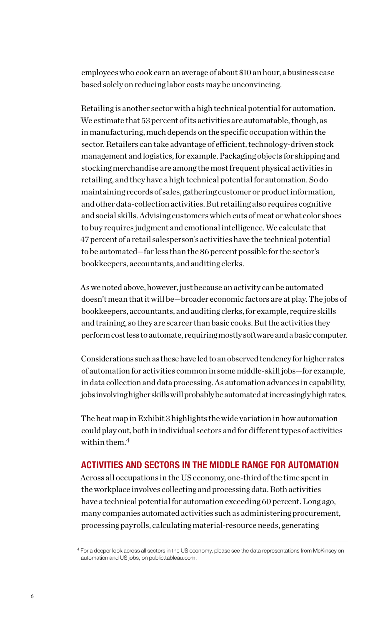employees who cook earn an average of about \$10 an hour, a business case based solely on reducing labor costs may be unconvincing.

Retailing is another sector with a high technical potential for automation. We estimate that 53 percent of its activities are automatable, though, as in manufacturing, much depends on the specific occupation within the sector. Retailers can take advantage of efficient, technology-driven stock management and logistics, for example. Packaging objects for shipping and stocking merchandise are among the most frequent physical activities in retailing, and they have a high technical potential for automation. So do maintaining records of sales, gathering customer or product information, and other data-collection activities. But retailing also requires cognitive and social skills. Advising customers which cuts of meat or what color shoes to buy requires judgment and emotional intelligence. We calculate that 47 percent of a retail salesperson's activities have the technical potential to be automated—far less than the 86 percent possible for the sector's bookkeepers, accountants, and auditing clerks.

As we noted above, however, just because an activity can be automated doesn't mean that it will be—broader economic factors are at play. The jobs of bookkeepers, accountants, and auditing clerks, for example, require skills and training, so they are scarcer than basic cooks. But the activities they perform cost less to automate, requiring mostly software and a basic computer.

Considerations such as these have led to an observed tendency for higher rates of automation for activities common in some middle-skill jobs—for example, in data collection and data processing. As automation advances in capability, jobs involving higher skills will probably be automated at increasingly high rates.

The heat map in Exhibit 3 highlights the wide variation in how automation could play out, both in individual sectors and for different types of activities within them.4

#### ACTIVITIES AND SECTORS IN THE MIDDLE RANGE FOR AUTOMATION

Across all occupations in the US economy, one-third of the time spent in the workplace involves collecting and processing data. Both activities have a technical potential for automation exceeding 60 percent. Long ago, many companies automated activities such as administering procurement, processing payrolls, calculating material-resource needs, generating

<sup>4</sup> For a deeper look across all sectors in the US economy, please see the data representations from McKinsey on automation and US jobs, on public.tableau.com.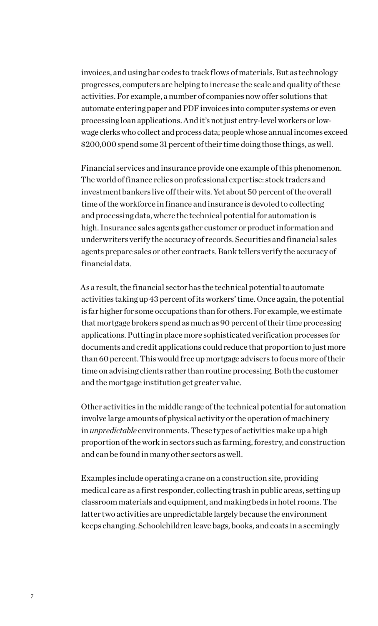invoices, and using bar codes to track flows of materials. But as technology progresses, computers are helping to increase the scale and quality of these activities. For example, a number of companies now offer solutions that automate entering paper and PDF invoices into computer systems or even processing loan applications. And it's not just entry-level workers or lowwage clerks who collect and process data; people whose annual incomes exceed \$200,000 spend some 31 percent of their time doing those things, as well.

Financial services and insurance provide one example of this phenomenon. The world of finance relies on professional expertise: stock traders and investment bankers live off their wits. Yet about 50 percent of the overall time of the workforce in finance and insurance is devoted to collecting and processing data, where the technical potential for automation is high. Insurance sales agents gather customer or product information and underwriters verify the accuracy of records. Securities and financial sales agents prepare sales or other contracts. Bank tellers verify the accuracy of financial data.

As a result, the financial sector has the technical potential to automate activities taking up 43 percent of its workers' time. Once again, the potential is far higher for some occupations than for others. For example, we estimate that mortgage brokers spend as much as 90 percent of their time processing applications. Putting in place more sophisticated verification processes for documents and credit applications could reduce that proportion to just more than 60 percent. This would free up mortgage advisers to focus more of their time on advising clients rather than routine processing. Both the customer and the mortgage institution get greater value.

Other activities in the middle range of the technical potential for automation involve large amounts of physical activity or the operation of machinery in *unpredictable* environments. These types of activities make up a high proportion of the work in sectors such as farming, forestry, and construction and can be found in many other sectors as well.

Examples include operating a crane on a construction site, providing medical care as a first responder, collecting trash in public areas, setting up classroom materials and equipment, and making beds in hotel rooms. The latter two activities are unpredictable largely because the environment keeps changing. Schoolchildren leave bags, books, and coats in a seemingly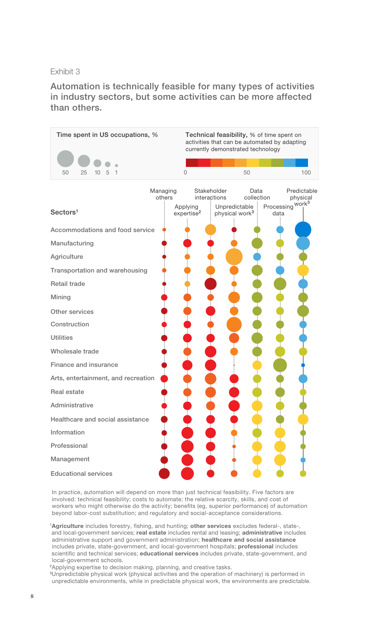#### Exhibit 3

Automation is technically feasible for many types of activities in industry sectors, but some activities can be more affected than others.



In practice, automation will depend on more than just technical feasibility. Five factors are involved: technical feasibility; costs to automate; the relative scarcity, skills, and cost of workers who might otherwise do the activity; benefits (eg, superior performance) of automation beyond labor-cost substitution; and regulatory and social-acceptance considerations.

1Agriculture includes forestry, fishing, and hunting; other services excludes federal-, stateand local-government services; real estate includes rental and leasing; administrative includes administrative support and government administration; healthcare and social assistance includes private, state-government, and local-government hospitals; professional includes scientific and technical services; educational services includes private, state-government, and local-government schools.

<sup>2</sup>Applying expertise to decision making, planning, and creative tasks.

<sup>3</sup>Unpredictable physical work (physical activities and the operation of machinery) is performed in unpredictable environments, while in predictable physical work, the environments are predictable.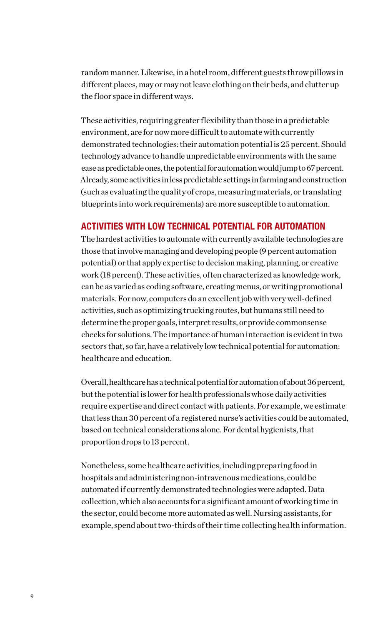random manner. Likewise, in a hotel room, different guests throw pillows in different places, may or may not leave clothing on their beds, and clutter up the floor space in different ways.

These activities, requiring greater flexibility than those in a predictable environment, are for now more difficult to automate with currently demonstrated technologies: their automation potential is 25 percent. Should technology advance to handle unpredictable environments with the same ease as predictable ones, the potential for automation would jump to 67 percent. Already, some activities in less predictable settings in farming and construction (such as evaluating the quality of crops, measuring materials, or translating blueprints into work requirements) are more susceptible to automation.

#### ACTIVITIES WITH LOW TECHNICAL POTENTIAL FOR AUTOMATION

The hardest activities to automate with currently available technologies are those that involve managing and developing people (9 percent automation potential) or that apply expertise to decision making, planning, or creative work (18 percent). These activities, often characterized as knowledge work, can be as varied as coding software, creating menus, or writing promotional materials. For now, computers do an excellent job with very well-defined activities, such as optimizing trucking routes, but humans still need to determine the proper goals, interpret results, or provide commonsense checks for solutions. The importance of human interaction is evident in two sectors that, so far, have a relatively low technical potential for automation: healthcare and education.

Overall, healthcare has a technical potential for automation of about 36 percent, but the potential is lower for health professionals whose daily activities require expertise and direct contact with patients. For example, we estimate that less than 30 percent of a registered nurse's activities could be automated, based on technical considerations alone. For dental hygienists, that proportion drops to 13 percent.

Nonetheless, some healthcare activities, including preparing food in hospitals and administering non-intravenous medications, could be automated if currently demonstrated technologies were adapted. Data collection, which also accounts for a significant amount of working time in the sector, could become more automated as well. Nursing assistants, for example, spend about two-thirds of their time collecting health information.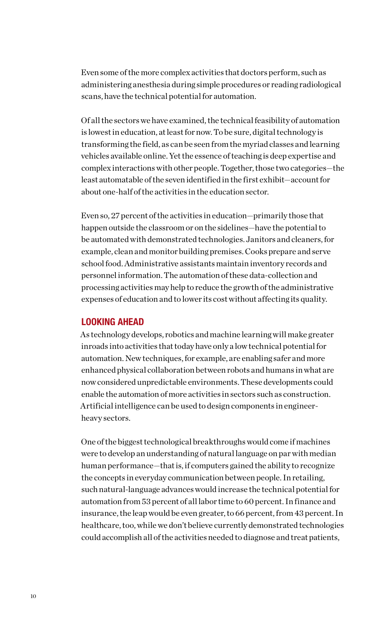Even some of the more complex activities that doctors perform, such as administering anesthesia during simple procedures or reading radiological scans, have the technical potential for automation.

Of all the sectors we have examined, the technical feasibility of automation is lowest in education, at least for now. To be sure, digital technology is transforming the field, as can be seen from the myriad classes and learning vehicles available online. Yet the essence of teaching is deep expertise and complex interactions with other people. Together, those two categories—the least automatable of the seven identified in the first exhibit—account for about one-half of the activities in the education sector.

Even so, 27 percent of the activities in education—primarily those that happen outside the classroom or on the sidelines—have the potential to be automated with demonstrated technologies. Janitors and cleaners, for example, clean and monitor building premises. Cooks prepare and serve school food. Administrative assistants maintain inventory records and personnel information. The automation of these data-collection and processing activities may help to reduce the growth of the administrative expenses of education and to lower its cost without affecting its quality.

#### LOOKING AHEAD

As technology develops, robotics and machine learning will make greater inroads into activities that today have only a low technical potential for automation. New techniques, for example, are enabling safer and more enhanced physical collaboration between robots and humans in what are now considered unpredictable environments. These developments could enable the automation of more activities in sectors such as construction. Artificial intelligence can be used to design components in engineerheavy sectors.

One of the biggest technological breakthroughs would come if machines were to develop an understanding of natural language on par with median human performance—that is, if computers gained the ability to recognize the concepts in everyday communication between people. In retailing, such natural-language advances would increase the technical potential for automation from 53 percent of all labor time to 60 percent. In finance and insurance, the leap would be even greater, to 66 percent, from 43 percent. In healthcare, too, while we don't believe currently demonstrated technologies could accomplish all of the activities needed to diagnose and treat patients,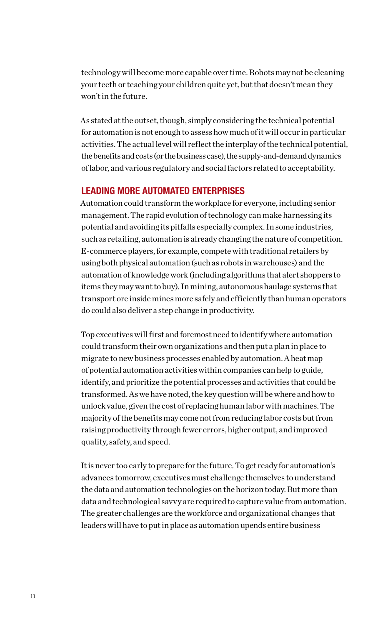technology will become more capable over time. Robots may not be cleaning your teeth or teaching your children quite yet, but that doesn't mean they won't in the future.

As stated at the outset, though, simply considering the technical potential for automation is not enough to assess how much of it will occur in particular activities. The actual level will reflect the interplay of the technical potential, the benefits and costs (or the business case), the supply-and-demand dynamics of labor, and various regulatory and social factors related to acceptability.

#### LEADING MORE AUTOMATED ENTERPRISES

Automation could transform the workplace for everyone, including senior management. The rapid evolution of technology can make harnessing its potential and avoiding its pitfalls especially complex. In some industries, such as retailing, automation is already changing the nature of competition. E-commerce players, for example, compete with traditional retailers by using both physical automation (such as robots in warehouses) and the automation of knowledge work (including algorithms that alert shoppers to items they may want to buy). In mining, autonomous haulage systems that transport ore inside mines more safely and efficiently than human operators do could also deliver a step change in productivity.

Top executives will first and foremost need to identify where automation could transform their own organizations and then put a plan in place to migrate to new business processes enabled by automation. A heat map of potential automation activities within companies can help to guide, identify, and prioritize the potential processes and activities that could be transformed. As we have noted, the key question will be where and how to unlock value, given the cost of replacing human labor with machines. The majority of the benefits may come not from reducing labor costs but from raising productivity through fewer errors, higher output, and improved quality, safety, and speed.

It is never too early to prepare for the future. To get ready for automation's advances tomorrow, executives must challenge themselves to understand the data and automation technologies on the horizon today. But more than data and technological savvy are required to capture value from automation. The greater challenges are the workforce and organizational changes that leaders will have to put in place as automation upends entire business